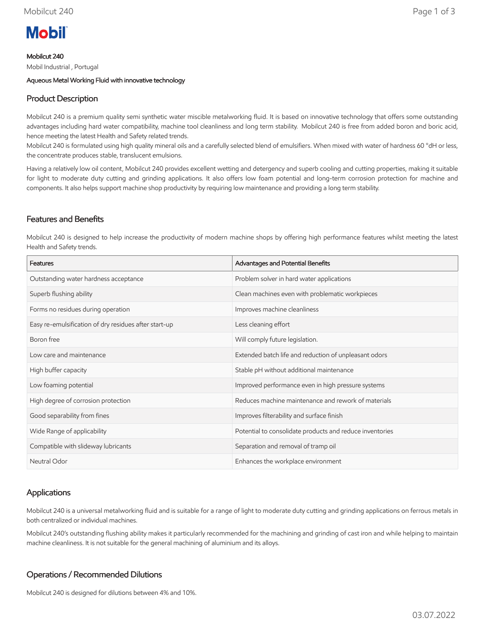# **Mobil**

Mobilcut 240

Mobil Industrial , Portugal

Aqueous Metal Working Fluid with innovative technology

# Product Description

Mobilcut 240 is a premium quality semi synthetic water miscible metalworking fluid. It is based on innovative technology that offers some outstanding advantages including hard water compatibility, machine tool cleanliness and long term stability. Mobilcut 240 is free from added boron and boric acid, hence meeting the latest Health and Safety related trends.

Mobilcut 240 is formulated using high quality mineral oils and a carefully selected blend of emulsifiers. When mixed with water of hardness 60 °dH or less, the concentrate produces stable, translucent emulsions.

Having a relatively low oil content, Mobilcut 240 provides excellent wetting and detergency and superb cooling and cutting properties, making it suitable for light to moderate duty cutting and grinding applications. It also offers low foam potential and long-term corrosion protection for machine and components. It also helps support machine shop productivity by requiring low maintenance and providing a long term stability.

### Features and Benefits

Mobilcut 240 is designed to help increase the productivity of modern machine shops by offering high performance features whilst meeting the latest Health and Safety trends.

| Features                                              | Advantages and Potential Benefits                        |
|-------------------------------------------------------|----------------------------------------------------------|
| Outstanding water hardness acceptance                 | Problem solver in hard water applications                |
| Superb flushing ability                               | Clean machines even with problematic workpieces          |
| Forms no residues during operation                    | Improves machine cleanliness                             |
| Easy re-emulsification of dry residues after start-up | Less cleaning effort                                     |
| Boron free                                            | Will comply future legislation.                          |
| Low care and maintenance                              | Extended batch life and reduction of unpleasant odors    |
| High buffer capacity                                  | Stable pH without additional maintenance                 |
| Low foaming potential                                 | Improved performance even in high pressure systems       |
| High degree of corrosion protection                   | Reduces machine maintenance and rework of materials      |
| Good separability from fines                          | Improves filterability and surface finish                |
| Wide Range of applicability                           | Potential to consolidate products and reduce inventories |
| Compatible with slideway lubricants                   | Separation and removal of tramp oil                      |
| Neutral Odor                                          | Enhances the workplace environment                       |

## Applications

Mobilcut 240 is a universal metalworking fluid and is suitable for a range of light to moderate duty cutting and grinding applications on ferrous metals in both centralized or individual machines.

Mobilcut 240's outstanding flushing ability makes it particularly recommended for the machining and grinding of cast iron and while helping to maintain machine cleanliness. It is not suitable for the general machining of aluminium and its alloys.

## Operations / Recommended Dilutions

Mobilcut 240 is designed for dilutions between 4% and 10%.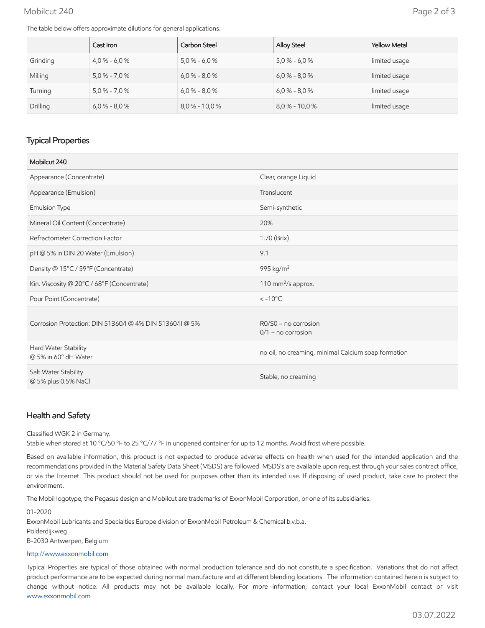#### Mobilcut 240 Page 2 of 3

The table below offers approximate dilutions for general applications.

|          | Cast Iron       | Carbon Steel     | <b>Alloy Steel</b> | <b>Yellow Metal</b> |
|----------|-----------------|------------------|--------------------|---------------------|
| Grinding | $4.0\% - 6.0\%$ | $5.0\% - 6.0\%$  | $5.0\% - 6.0\%$    | limited usage       |
| Milling  | $5,0% - 7,0%$   | $6.0\% - 8.0\%$  | $6.0\% - 8.0\%$    | limited usage       |
| Turning  | $5.0\% - 7.0\%$ | $6.0\% - 8.0\%$  | $6.0\% - 8.0\%$    | limited usage       |
| Drilling | $6.0\% - 8.0\%$ | $8.0\% - 10.0\%$ | $8.0\% - 10.0\%$   | limited usage       |

# Typical Properties

| Mobilcut 240                                             |                                                     |
|----------------------------------------------------------|-----------------------------------------------------|
| Appearance (Concentrate)                                 | Clear, orange Liquid                                |
| Appearance (Emulsion)                                    | Translucent                                         |
| Emulsion Type                                            | Semi-synthetic                                      |
| Mineral Oil Content (Concentrate)                        | 20%                                                 |
| Refractometer Correction Factor                          | 1.70 (Brix)                                         |
| pH @ 5% in DIN 20 Water (Emulsion)                       | 9.1                                                 |
| Density @ 15°C / 59°F (Concentrate)                      | 995 kg/m <sup>3</sup>                               |
| Kin. Viscosity @ 20°C / 68°F (Concentrate)               | 110 mm <sup>2</sup> /s approx.                      |
| Pour Point (Concentrate)                                 | $< -10$ °C                                          |
| Corrosion Protection: DIN 51360/I @ 4% DIN 51360/II @ 5% | $RO/S0$ – no corrosion<br>$0/1$ – no corrosion      |
| Hard Water Stability<br>@ 5% in 60° dH Water             | no oil, no creaming, minimal Calcium soap formation |
| Salt Water Stability<br>@ 5% plus 0.5% NaCl              | Stable, no creaming                                 |

### Health and Safety

#### Classified WGK 2 in Germany.

Stable when stored at 10 °C/50 °F to 25 °C/77 °F in unopened container for up to 12 months. Avoid frost where possible.

Based on available information, this product is not expected to produce adverse effects on health when used for the intended application and the recommendations provided in the Material Safety Data Sheet (MSDS) are followed. MSDS's are available upon request through your sales contract office, or via the Internet. This product should not be used for purposes other than its intended use. If disposing of used product, take care to protect the environment.

The Mobil logotype, the Pegasus design and Mobilcut are trademarks of ExxonMobil Corporation, or one of its subsidiaries.

#### 01-2020

ExxonMobil Lubricants and Specialties Europe division of ExxonMobil Petroleum & Chemical b.v.b.a.

Polderdijkweg

B-2030 Antwerpen, Belgium

#### [http://www.exxonmobil.com](http://www.exxonmobil.com/)

Typical Properties are typical of those obtained with normal production tolerance and do not constitute a specification. Variations that do not affect product performance are to be expected during normal manufacture and at different blending locations. The information contained herein is subject to change without notice. All products may not be available locally. For more information, contact your local ExxonMobil contact or visit [www.exxonmobil.com](http://www.exxonmobil.com/)